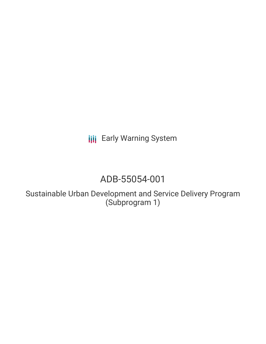**III** Early Warning System

# ADB-55054-001

Sustainable Urban Development and Service Delivery Program (Subprogram 1)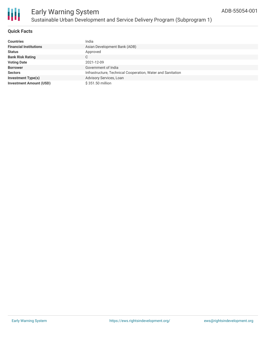

# **Quick Facts**

| <b>Countries</b>               | India                                                       |
|--------------------------------|-------------------------------------------------------------|
| <b>Financial Institutions</b>  | Asian Development Bank (ADB)                                |
| <b>Status</b>                  | Approved                                                    |
| <b>Bank Risk Rating</b>        | C                                                           |
| <b>Voting Date</b>             | 2021-12-09                                                  |
| <b>Borrower</b>                | Government of India                                         |
| <b>Sectors</b>                 | Infrastructure, Technical Cooperation, Water and Sanitation |
| <b>Investment Type(s)</b>      | Advisory Services, Loan                                     |
| <b>Investment Amount (USD)</b> | \$351.50 million                                            |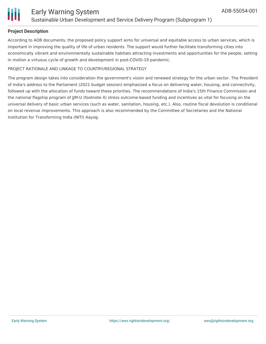

## **Project Description**

According to ADB documents, the proposed policy support aims for universal and equitable access to urban services, which is important in improving the quality of life of urban residents. The support would further facilitate transforming cities into economically vibrant and environmentally sustainable habitats attracting investments and opportunities for the people, setting in motion a virtuous cycle of growth and development in post-COVID-19 pandemic.

#### PROJECT RATIONALE AND LINKAGE TO COUNTRY/REGIONAL STRATEGY

The program design takes into consideration the government's vision and renewed strategy for the urban sector. The President of India's address to the Parliament (2021 budget session) emphasized a focus on delivering water, housing, and connectivity, followed up with the allocation of funds toward these priorities. The recommendations of India's 15th Finance Commission and the national flagship program of JJM-U (footnote 4) stress outcome-based funding and incentives as vital for focusing on the universal delivery of basic urban services (such as water, sanitation, housing, etc.). Also, routine fiscal devolution is conditional on local revenue improvements. This approach is also recommended by the Committee of Secretaries and the National Institution for Transforming India (NITI) Aayog.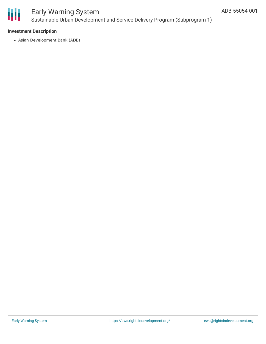

# Early Warning System Sustainable Urban Development and Service Delivery Program (Subprogram 1)

### **Investment Description**

Asian Development Bank (ADB)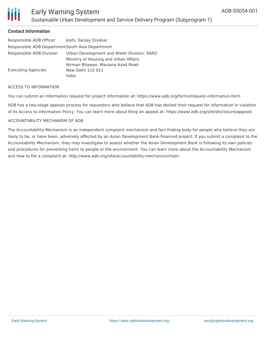

## **Contact Information**

| Responsible ADB Officer                          | Joshi, Sanjay Divakar                      |  |  |
|--------------------------------------------------|--------------------------------------------|--|--|
| Responsible ADB Department South Asia Department |                                            |  |  |
| Responsible ADB Division                         | Urban Development and Water Division, SARD |  |  |
|                                                  | Ministry of Housing and Urban Affairs      |  |  |
|                                                  | Nirman Bhawan, Maulana Azad Road           |  |  |
| <b>Executing Agencies</b>                        | New Delhi 110 011                          |  |  |
|                                                  | India                                      |  |  |

#### ACCESS TO INFORMATION

You can submit an information request for project information at: https://www.adb.org/forms/request-information-form

ADB has a two-stage appeals process for requesters who believe that ADB has denied their request for information in violation of its Access to Information Policy. You can learn more about filing an appeal at: https://www.adb.org/site/disclosure/appeals

#### ACCOUNTABILITY MECHANISM OF ADB

The Accountability Mechanism is an independent complaint mechanism and fact-finding body for people who believe they are likely to be, or have been, adversely affected by an Asian Development Bank-financed project. If you submit a complaint to the Accountability Mechanism, they may investigate to assess whether the Asian Development Bank is following its own policies and procedures for preventing harm to people or the environment. You can learn more about the Accountability Mechanism and how to file a complaint at: http://www.adb.org/site/accountability-mechanism/main.